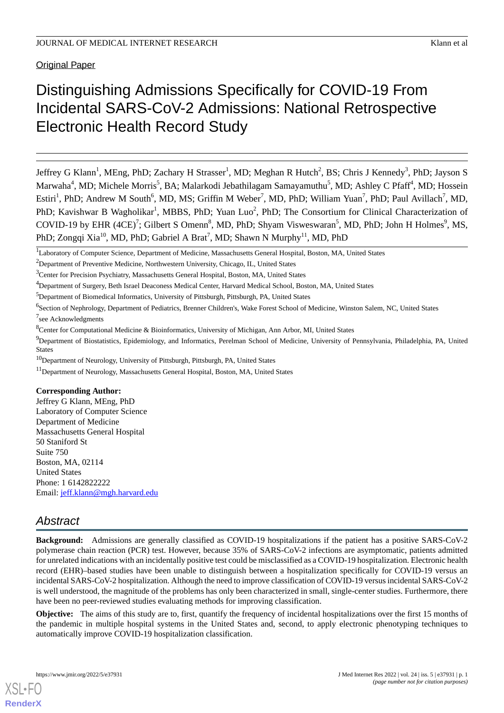Original Paper

# Distinguishing Admissions Specifically for COVID-19 From Incidental SARS-CoV-2 Admissions: National Retrospective Electronic Health Record Study

Jeffrey G Klann<sup>1</sup>, MEng, PhD; Zachary H Strasser<sup>1</sup>, MD; Meghan R Hutch<sup>2</sup>, BS; Chris J Kennedy<sup>3</sup>, PhD; Jayson S Marwaha<sup>4</sup>, MD; Michele Morris<sup>5</sup>, BA; Malarkodi Jebathilagam Samayamuthu<sup>5</sup>, MD; Ashley C Pfaff<sup>4</sup>, MD; Hossein Estiri<sup>1</sup>, PhD; Andrew M South<sup>6</sup>, MD, MS; Griffin M Weber<sup>7</sup>, MD, PhD; William Yuan<sup>7</sup>, PhD; Paul Avillach<sup>7</sup>, MD, PhD; Kavishwar B Wagholikar<sup>1</sup>, MBBS, PhD; Yuan Luo<sup>2</sup>, PhD; The Consortium for Clinical Characterization of COVID-19 by EHR (4CE)<sup>7</sup>; Gilbert S Omenn<sup>8</sup>, MD, PhD; Shyam Visweswaran<sup>5</sup>, MD, PhD; John H Holmes<sup>9</sup>, MS, PhD; Zongqi Xia<sup>10</sup>, MD, PhD; Gabriel A Brat<sup>7</sup>, MD; Shawn N Murphy<sup>11</sup>, MD, PhD

<sup>4</sup>Department of Surgery, Beth Israel Deaconess Medical Center, Harvard Medical School, Boston, MA, United States

<sup>8</sup>Center for Computational Medicine & Bioinformatics, University of Michigan, Ann Arbor, MI, United States

# **Corresponding Author:**

Jeffrey G Klann, MEng, PhD Laboratory of Computer Science Department of Medicine Massachusetts General Hospital 50 Staniford St Suite 750 Boston, MA, 02114 United States Phone: 1 6142822222 Email: [jeff.klann@mgh.harvard.edu](mailto:jeff.klann@mgh.harvard.edu)

# *Abstract*

**Background:** Admissions are generally classified as COVID-19 hospitalizations if the patient has a positive SARS-CoV-2 polymerase chain reaction (PCR) test. However, because 35% of SARS-CoV-2 infections are asymptomatic, patients admitted for unrelated indications with an incidentally positive test could be misclassified as a COVID-19 hospitalization. Electronic health record (EHR)–based studies have been unable to distinguish between a hospitalization specifically for COVID-19 versus an incidental SARS-CoV-2 hospitalization. Although the need to improve classification of COVID-19 versus incidental SARS-CoV-2 is well understood, the magnitude of the problems has only been characterized in small, single-center studies. Furthermore, there have been no peer-reviewed studies evaluating methods for improving classification.

**Objective:** The aims of this study are to, first, quantify the frequency of incidental hospitalizations over the first 15 months of the pandemic in multiple hospital systems in the United States and, second, to apply electronic phenotyping techniques to automatically improve COVID-19 hospitalization classification.

<sup>&</sup>lt;sup>1</sup>Laboratory of Computer Science, Department of Medicine, Massachusetts General Hospital, Boston, MA, United States

<sup>&</sup>lt;sup>2</sup>Department of Preventive Medicine, Northwestern University, Chicago, IL, United States

<sup>&</sup>lt;sup>3</sup>Center for Precision Psychiatry, Massachusetts General Hospital, Boston, MA, United States

<sup>5</sup>Department of Biomedical Informatics, University of Pittsburgh, Pittsburgh, PA, United States

<sup>&</sup>lt;sup>6</sup>Section of Nephrology, Department of Pediatrics, Brenner Children's, Wake Forest School of Medicine, Winston Salem, NC, United States <sup>7</sup>see Acknowledgments

<sup>&</sup>lt;sup>9</sup>Department of Biostatistics, Epidemiology, and Informatics, Perelman School of Medicine, University of Pennsylvania, Philadelphia, PA, United States

<sup>10</sup>Department of Neurology, University of Pittsburgh, Pittsburgh, PA, United States

<sup>&</sup>lt;sup>11</sup>Department of Neurology, Massachusetts General Hospital, Boston, MA, United States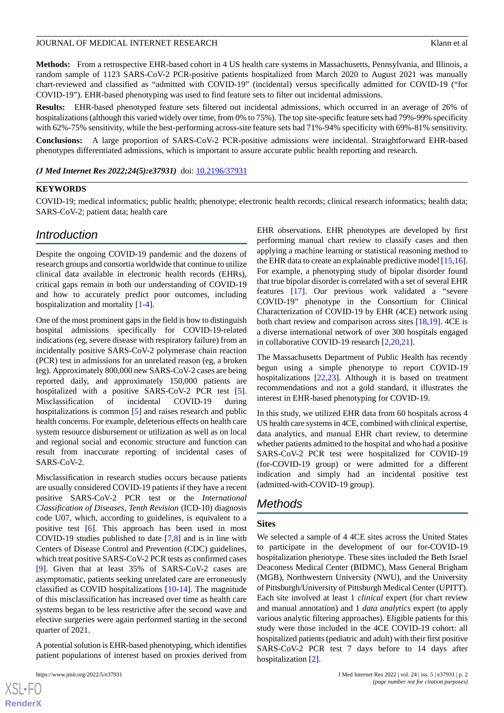**Methods:** From a retrospective EHR-based cohort in 4 US health care systems in Massachusetts, Pennsylvania, and Illinois, a random sample of 1123 SARS-CoV-2 PCR-positive patients hospitalized from March 2020 to August 2021 was manually chart-reviewed and classified as "admitted with COVID-19" (incidental) versus specifically admitted for COVID-19 ("for COVID-19"). EHR-based phenotyping was used to find feature sets to filter out incidental admissions.

**Results:** EHR-based phenotyped feature sets filtered out incidental admissions, which occurred in an average of 26% of hospitalizations (although this varied widely over time, from 0% to 75%). The top site-specific feature sets had 79%-99% specificity with 62%-75% sensitivity, while the best-performing across-site feature sets had 71%-94% specificity with 69%-81% sensitivity.

**Conclusions:** A large proportion of SARS-CoV-2 PCR-positive admissions were incidental. Straightforward EHR-based phenotypes differentiated admissions, which is important to assure accurate public health reporting and research.

*(J Med Internet Res 2022;24(5):e37931)* doi: **[10.2196/37931](http://dx.doi.org/10.2196/37931)** 

#### **KEYWORDS**

COVID-19; medical informatics; public health; phenotype; electronic health records; clinical research informatics; health data; SARS-CoV-2; patient data; health care

# *Introduction*

Despite the ongoing COVID-19 pandemic and the dozens of research groups and consortia worldwide that continue to utilize clinical data available in electronic health records (EHRs), critical gaps remain in both our understanding of COVID-19 and how to accurately predict poor outcomes, including hospitalization and mortality [\[1](#page-15-0)-[4\]](#page-15-1).

One of the most prominent gaps in the field is how to distinguish hospital admissions specifically for COVID-19-related indications (eg, severe disease with respiratory failure) from an incidentally positive SARS-CoV-2 polymerase chain reaction (PCR) test in admissions for an unrelated reason (eg, a broken leg). Approximately 800,000 new SARS-CoV-2 cases are being reported daily, and approximately 150,000 patients are hospitalized with a positive SARS-CoV-2 PCR test [[5\]](#page-15-2). Misclassification of incidental COVID-19 during hospitalizations is common [[5\]](#page-15-2) and raises research and public health concerns. For example, deleterious effects on health care system resource disbursement or utilization as well as on local and regional social and economic structure and function can result from inaccurate reporting of incidental cases of SARS-CoV-2.

Misclassification in research studies occurs because patients are usually considered COVID-19 patients if they have a recent positive SARS-CoV-2 PCR test or the *International Classification of Diseases, Tenth Revision* (ICD-10) diagnosis code U07, which, according to guidelines, is equivalent to a positive test [[6\]](#page-15-3). This approach has been used in most COVID-19 studies published to date [[7](#page-15-4)[,8](#page-16-0)] and is in line with Centers of Disease Control and Prevention (CDC) guidelines, which treat positive SARS-CoV-2 PCR tests as confirmed cases [[9\]](#page-16-1). Given that at least 35% of SARS-CoV-2 cases are asymptomatic, patients seeking unrelated care are erroneously classified as COVID hospitalizations [\[10](#page-16-2)-[14\]](#page-16-3). The magnitude of this misclassification has increased over time as health care systems began to be less restrictive after the second wave and elective surgeries were again performed starting in the second quarter of 2021.

A potential solution is EHR-based phenotyping, which identifies patient populations of interest based on proxies derived from

EHR observations. EHR phenotypes are developed by first performing manual chart review to classify cases and then applying a machine learning or statistical reasoning method to the EHR data to create an explainable predictive model [\[15](#page-16-4),[16\]](#page-16-5). For example, a phenotyping study of bipolar disorder found that true bipolar disorder is correlated with a set of several EHR features [[17\]](#page-16-6). Our previous work validated a "severe COVID-19" phenotype in the Consortium for Clinical Characterization of COVID-19 by EHR (4CE) network using both chart review and comparison across sites [\[18](#page-16-7),[19\]](#page-16-8). 4CE is a diverse international network of over 300 hospitals engaged in collaborative COVID-19 research [\[2](#page-15-5),[20](#page-16-9)[,21](#page-16-10)].

The Massachusetts Department of Public Health has recently begun using a simple phenotype to report COVID-19 hospitalizations [[22,](#page-16-11)[23](#page-16-12)]. Although it is based on treatment recommendations and not a gold standard, it illustrates the interest in EHR-based phenotyping for COVID-19.

In this study, we utilized EHR data from 60 hospitals across 4 US health care systems in 4CE, combined with clinical expertise, data analytics, and manual EHR chart review, to determine whether patients admitted to the hospital and who had a positive SARS-CoV-2 PCR test were hospitalized for COVID-19 (for-COVID-19 group) or were admitted for a different indication and simply had an incidental positive test (admitted-with-COVID-19 group).

# *Methods*

#### **Sites**

We selected a sample of 4 4CE sites across the United States to participate in the development of our for-COVID-19 hospitalization phenotype. These sites included the Beth Israel Deaconess Medical Center (BIDMC), Mass General Brigham (MGB), Northwestern University (NWU), and the University of Pittsburgh/University of Pittsburgh Medical Center (UPITT). Each site involved at least 1 *clinical* expert (for chart review and manual annotation) and 1 *data analytics* expert (to apply various analytic filtering approaches). Eligible patients for this study were those included in the 4CE COVID-19 cohort: all hospitalized patients (pediatric and adult) with their first positive SARS-CoV-2 PCR test 7 days before to 14 days after hospitalization [\[2](#page-15-5)].

```
XS\cdotFC
RenderX
```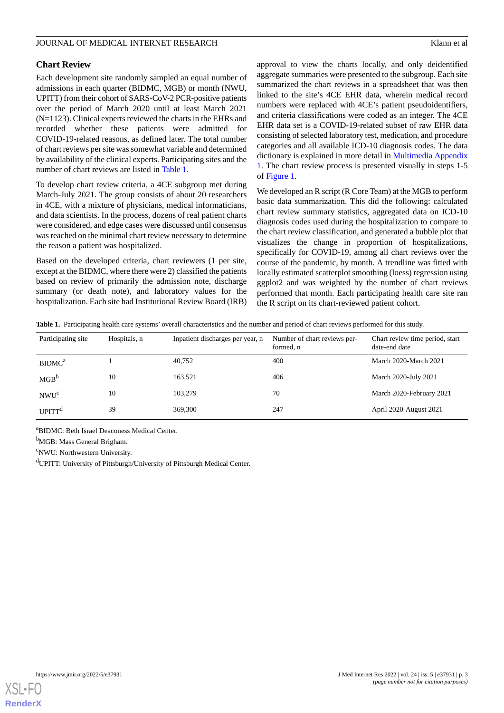#### **Chart Review**

Each development site randomly sampled an equal number of admissions in each quarter (BIDMC, MGB) or month (NWU, UPITT) from their cohort of SARS-CoV-2 PCR-positive patients over the period of March 2020 until at least March 2021 (N=1123). Clinical experts reviewed the charts in the EHRs and recorded whether these patients were admitted for COVID-19-related reasons, as defined later. The total number of chart reviews per site was somewhat variable and determined by availability of the clinical experts. Participating sites and the number of chart reviews are listed in [Table 1.](#page-2-0)

To develop chart review criteria, a 4CE subgroup met during March-July 2021. The group consists of about 20 researchers in 4CE, with a mixture of physicians, medical informaticians, and data scientists. In the process, dozens of real patient charts were considered, and edge cases were discussed until consensus was reached on the minimal chart review necessary to determine the reason a patient was hospitalized.

<span id="page-2-0"></span>Based on the developed criteria, chart reviewers (1 per site, except at the BIDMC, where there were 2) classified the patients based on review of primarily the admission note, discharge summary (or death note), and laboratory values for the hospitalization. Each site had Institutional Review Board (IRB) approval to view the charts locally, and only deidentified aggregate summaries were presented to the subgroup. Each site summarized the chart reviews in a spreadsheet that was then linked to the site's 4CE EHR data, wherein medical record numbers were replaced with 4CE's patient pseudoidentifiers, and criteria classifications were coded as an integer. The 4CE EHR data set is a COVID-19-related subset of raw EHR data consisting of selected laboratory test, medication, and procedure categories and all available ICD-10 diagnosis codes. The data dictionary is explained in more detail in [Multimedia Appendix](#page-15-6) [1.](#page-15-6) The chart review process is presented visually in steps 1-5 of [Figure 1](#page-3-0).

We developed an R script (R Core Team) at the MGB to perform basic data summarization. This did the following: calculated chart review summary statistics, aggregated data on ICD-10 diagnosis codes used during the hospitalization to compare to the chart review classification, and generated a bubble plot that visualizes the change in proportion of hospitalizations, specifically for COVID-19, among all chart reviews over the course of the pandemic, by month. A trendline was fitted with locally estimated scatterplot smoothing (loess) regression using ggplot2 and was weighted by the number of chart reviews performed that month. Each participating health care site ran the R script on its chart-reviewed patient cohort.

**Table 1.** Participating health care systems' overall characteristics and the number and period of chart reviews performed for this study.

| Participating site       | Hospitals, n | Inpatient discharges per year, n | Number of chart reviews per-<br>formed, n | Chart review time period, start<br>date-end date |
|--------------------------|--------------|----------------------------------|-------------------------------------------|--------------------------------------------------|
| BIDMC <sup>a</sup>       |              | 40,752                           | 400                                       | March 2020-March 2021                            |
| MGB <sup>b</sup>         | 10           | 163.521                          | 406                                       | March 2020-July 2021                             |
| NWU <sup>c</sup>         | 10           | 103,279                          | 70                                        | March 2020-February 2021                         |
| <b>UPITT<sup>d</sup></b> | 39           | 369,300                          | 247                                       | April 2020-August 2021                           |

<sup>a</sup>BIDMC: Beth Israel Deaconess Medical Center.

<sup>b</sup>MGB: Mass General Brigham.

<sup>c</sup>NWU: Northwestern University.

<sup>d</sup>UPITT: University of Pittsburgh/University of Pittsburgh Medical Center.

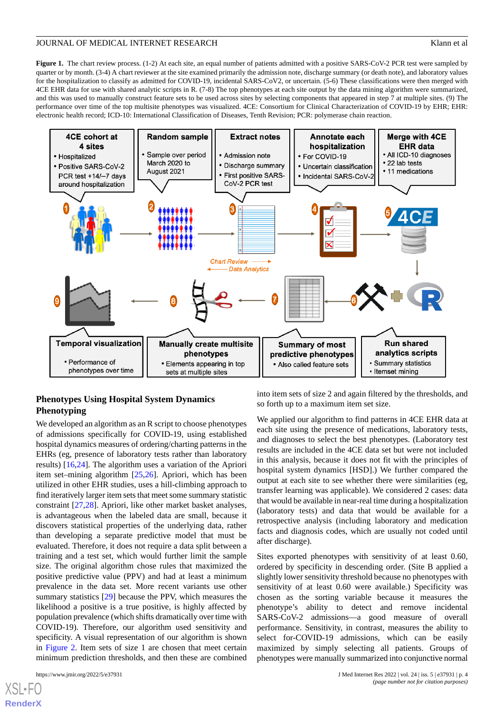<span id="page-3-0"></span>**Figure 1.** The chart review process. (1-2) At each site, an equal number of patients admitted with a positive SARS-CoV-2 PCR test were sampled by quarter or by month. (3-4) A chart reviewer at the site examined primarily the admission note, discharge summary (or death note), and laboratory values for the hospitalization to classify as admitted for COVID-19, incidental SARS-CoV2, or uncertain. (5-6) These classifications were then merged with 4CE EHR data for use with shared analytic scripts in R. (7-8) The top phenotypes at each site output by the data mining algorithm were summarized, and this was used to manually construct feature sets to be used across sites by selecting components that appeared in step 7 at multiple sites. (9) The performance over time of the top multisite phenotypes was visualized. 4CE: Consortium for Clinical Characterization of COVID-19 by EHR; EHR: electronic health record; ICD-10: International Classification of Diseases, Tenth Revision; PCR: polymerase chain reaction.



# **Phenotypes Using Hospital System Dynamics Phenotyping**

We developed an algorithm as an R script to choose phenotypes of admissions specifically for COVID-19, using established hospital dynamics measures of ordering/charting patterns in the EHRs (eg, presence of laboratory tests rather than laboratory results) [\[16](#page-16-5),[24\]](#page-16-13). The algorithm uses a variation of the Apriori item set–mining algorithm [[25](#page-16-14)[,26](#page-16-15)]. Apriori, which has been utilized in other EHR studies, uses a hill-climbing approach to find iteratively larger item sets that meet some summary statistic constraint [\[27](#page-16-16),[28\]](#page-16-17). Apriori, like other market basket analyses, is advantageous when the labeled data are small, because it discovers statistical properties of the underlying data, rather than developing a separate predictive model that must be evaluated. Therefore, it does not require a data split between a training and a test set, which would further limit the sample size. The original algorithm chose rules that maximized the positive predictive value (PPV) and had at least a minimum prevalence in the data set. More recent variants use other summary statistics [\[29](#page-17-0)] because the PPV, which measures the likelihood a positive is a true positive, is highly affected by population prevalence (which shifts dramatically over time with COVID-19). Therefore, our algorithm used sensitivity and specificity. A visual representation of our algorithm is shown in [Figure 2.](#page-4-0) Item sets of size 1 are chosen that meet certain minimum prediction thresholds, and then these are combined

 $X$ SL•F **[RenderX](http://www.renderx.com/)** into item sets of size 2 and again filtered by the thresholds, and so forth up to a maximum item set size.

We applied our algorithm to find patterns in 4CE EHR data at each site using the presence of medications, laboratory tests, and diagnoses to select the best phenotypes. (Laboratory test results are included in the 4CE data set but were not included in this analysis, because it does not fit with the principles of hospital system dynamics [HSD].) We further compared the output at each site to see whether there were similarities (eg, transfer learning was applicable). We considered 2 cases: data that would be available in near-real time during a hospitalization (laboratory tests) and data that would be available for a retrospective analysis (including laboratory and medication facts and diagnosis codes, which are usually not coded until after discharge).

Sites exported phenotypes with sensitivity of at least 0.60, ordered by specificity in descending order. (Site B applied a slightly lower sensitivity threshold because no phenotypes with sensitivity of at least 0.60 were available.) Specificity was chosen as the sorting variable because it measures the phenotype's ability to detect and remove incidental SARS-CoV-2 admissions—a good measure of overall performance. Sensitivity, in contrast, measures the ability to select for-COVID-19 admissions, which can be easily maximized by simply selecting all patients. Groups of phenotypes were manually summarized into conjunctive normal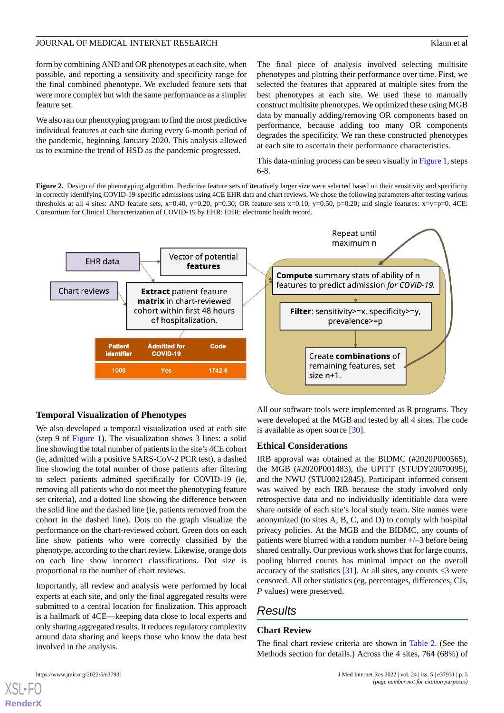form by combining AND and OR phenotypes at each site, when possible, and reporting a sensitivity and specificity range for the final combined phenotype. We excluded feature sets that were more complex but with the same performance as a simpler feature set.

We also ran our phenotyping program to find the most predictive individual features at each site during every 6-month period of the pandemic, beginning January 2020. This analysis allowed us to examine the trend of HSD as the pandemic progressed.

The final piece of analysis involved selecting multisite phenotypes and plotting their performance over time. First, we selected the features that appeared at multiple sites from the best phenotypes at each site. We used these to manually construct multisite phenotypes. We optimized these using MGB data by manually adding/removing OR components based on performance, because adding too many OR components degrades the specificity. We ran these constructed phenotypes at each site to ascertain their performance characteristics.

This data-mining process can be seen visually in [Figure 1](#page-3-0), steps 6-8.

<span id="page-4-0"></span>Figure 2. Design of the phenotyping algorithm. Predictive feature sets of iteratively larger size were selected based on their sensitivity and specificity in correctly identifying COVID-19-specific admissions using 4CE EHR data and chart reviews. We chose the following parameters after testing various thresholds at all 4 sites: AND feature sets,  $x=0.40$ ,  $y=0.20$ ,  $p=0.30$ ; OR feature sets  $x=0.10$ ,  $y=0.50$ ,  $p=0.20$ ; and single features:  $x=y=p=0$ . 4CE: Consortium for Clinical Characterization of COVID-19 by EHR; EHR: electronic health record.



#### **Temporal Visualization of Phenotypes**

We also developed a temporal visualization used at each site (step 9 of [Figure 1](#page-3-0)). The visualization shows 3 lines: a solid line showing the total number of patients in the site's 4CE cohort (ie, admitted with a positive SARS-CoV-2 PCR test), a dashed line showing the total number of those patients after filtering to select patients admitted specifically for COVID-19 (ie, removing all patients who do not meet the phenotyping feature set criteria), and a dotted line showing the difference between the solid line and the dashed line (ie, patients removed from the cohort in the dashed line). Dots on the graph visualize the performance on the chart-reviewed cohort. Green dots on each line show patients who were correctly classified by the phenotype, according to the chart review. Likewise, orange dots on each line show incorrect classifications. Dot size is proportional to the number of chart reviews.

Importantly, all review and analysis were performed by local experts at each site, and only the final aggregated results were submitted to a central location for finalization. This approach is a hallmark of 4CE—keeping data close to local experts and only sharing aggregated results. It reduces regulatory complexity around data sharing and keeps those who know the data best involved in the analysis.

All our software tools were implemented as R programs. They were developed at the MGB and tested by all 4 sites. The code is available as open source [[30\]](#page-17-1).

#### **Ethical Considerations**

IRB approval was obtained at the BIDMC (#2020P000565), the MGB (#2020P001483), the UPITT (STUDY20070095), and the NWU (STU00212845). Participant informed consent was waived by each IRB because the study involved only retrospective data and no individually identifiable data were share outside of each site's local study team. Site names were anonymized (to sites A, B, C, and D) to comply with hospital privacy policies. At the MGB and the BIDMC, any counts of patients were blurred with a random number +/–3 before being shared centrally. Our previous work shows that for large counts, pooling blurred counts has minimal impact on the overall accuracy of the statistics  $[31]$  $[31]$ . At all sites, any counts  $\langle 3 \rangle$  were censored. All other statistics (eg, percentages, differences, CIs, *P* values) were preserved.

# *Results*

#### **Chart Review**

The final chart review criteria are shown in [Table 2.](#page-5-0) (See the Methods section for details.) Across the 4 sites, 764 (68%) of

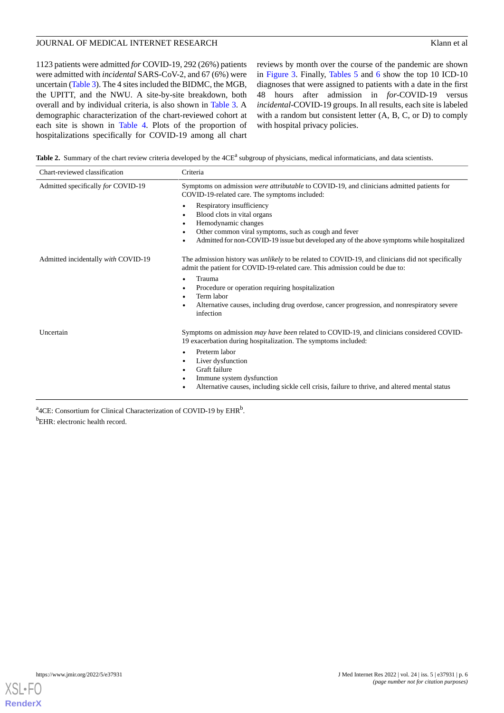1123 patients were admitted *for* COVID-19, 292 (26%) patients were admitted with *incidental*SARS-CoV-2, and 67 (6%) were uncertain ([Table 3\)](#page-6-0). The 4 sites included the BIDMC, the MGB, the UPITT, and the NWU. A site-by-site breakdown, both overall and by individual criteria, is also shown in [Table 3.](#page-6-0) A demographic characterization of the chart-reviewed cohort at each site is shown in [Table 4.](#page-7-0) Plots of the proportion of hospitalizations specifically for COVID-19 among all chart

reviews by month over the course of the pandemic are shown in [Figure 3](#page-8-0). Finally, [Tables 5](#page-9-0) and [6](#page-9-1) show the top 10 ICD-10 diagnoses that were assigned to patients with a date in the first 48 hours after admission in *for-*COVID-19 versus *incidental-*COVID-19 groups. In all results, each site is labeled with a random but consistent letter (A, B, C, or D) to comply with hospital privacy policies.

<span id="page-5-0"></span>Table 2. Summary of the chart review criteria developed by the 4CE<sup>a</sup> subgroup of physicians, medical informaticians, and data scientists.

| Chart-reviewed classification       | Criteria                                                                                                                                                                                 |  |  |  |
|-------------------------------------|------------------------------------------------------------------------------------------------------------------------------------------------------------------------------------------|--|--|--|
| Admitted specifically for COVID-19  | Symptoms on admission were attributable to COVID-19, and clinicians admitted patients for<br>COVID-19-related care. The symptoms included:                                               |  |  |  |
|                                     | Respiratory insufficiency<br>$\bullet$<br>Blood clots in vital organs<br>٠                                                                                                               |  |  |  |
|                                     | Hemodynamic changes<br>Other common viral symptoms, such as cough and fever<br>$\bullet$                                                                                                 |  |  |  |
|                                     | Admitted for non-COVID-19 issue but developed any of the above symptoms while hospitalized<br>٠                                                                                          |  |  |  |
| Admitted incidentally with COVID-19 | The admission history was <i>unlikely</i> to be related to COVID-19, and clinicians did not specifically<br>admit the patient for COVID-19-related care. This admission could be due to: |  |  |  |
|                                     | Trauma<br>٠                                                                                                                                                                              |  |  |  |
|                                     | Procedure or operation requiring hospitalization<br>Term labor                                                                                                                           |  |  |  |
|                                     | Alternative causes, including drug overdose, cancer progression, and nonrespiratory severe<br>$\bullet$<br>infection                                                                     |  |  |  |
| Uncertain                           | Symptoms on admission <i>may have been</i> related to COVID-19, and clinicians considered COVID-<br>19 exacerbation during hospitalization. The symptoms included:                       |  |  |  |
|                                     | Preterm labor<br>Liver dysfunction<br>Graft failure                                                                                                                                      |  |  |  |
|                                     | $\bullet$<br>Immune system dysfunction                                                                                                                                                   |  |  |  |
|                                     | Alternative causes, including sickle cell crisis, failure to thrive, and altered mental status                                                                                           |  |  |  |
|                                     |                                                                                                                                                                                          |  |  |  |

<sup>a</sup>4CE: Consortium for Clinical Characterization of COVID-19 by EHR<sup>b</sup>. <sup>b</sup>EHR: electronic health record.

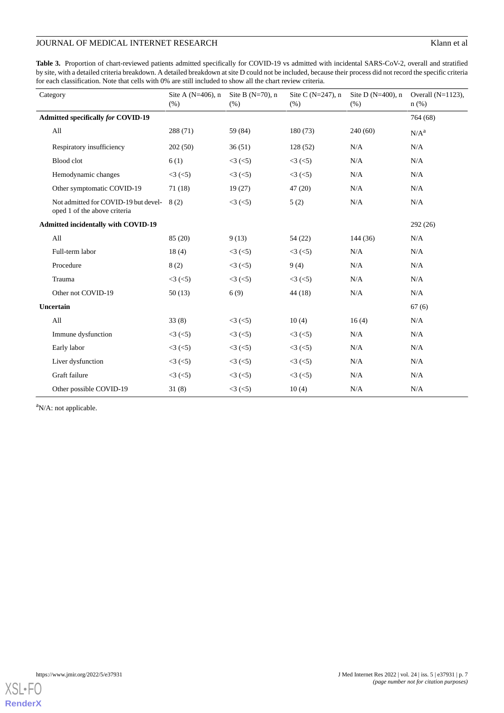<span id="page-6-0"></span>Table 3. Proportion of chart-reviewed patients admitted specifically for COVID-19 vs admitted with incidental SARS-CoV-2, overall and stratified by site, with a detailed criteria breakdown. A detailed breakdown at site D could not be included, because their process did not record the specific criteria for each classification. Note that cells with 0% are still included to show all the chart review criteria.

| Category                                                             | Site A $(N=406)$ , n<br>(% ) | Site B $(N=70)$ , n<br>(% ) | Site C $(N=247)$ , n<br>(% ) | Site D $(N=400)$ , n<br>(% ) | Overall $(N=1123)$ ,<br>$n$ (%) |
|----------------------------------------------------------------------|------------------------------|-----------------------------|------------------------------|------------------------------|---------------------------------|
| <b>Admitted specifically for COVID-19</b>                            |                              |                             |                              |                              | 764 (68)                        |
| All                                                                  | 288 (71)                     | 59 (84)                     | 180(73)                      | 240(60)                      | N/A <sup>a</sup>                |
| Respiratory insufficiency                                            | 202(50)                      | 36(51)                      | 128(52)                      | N/A                          | N/A                             |
| Blood clot                                                           | 6(1)                         | $<3$ ( $<5$ )               | $<3$ ( $<5$ )                | N/A                          | N/A                             |
| Hemodynamic changes                                                  | $<3$ ( $<5$ )                | $<3$ ( $<$ 5)               | $<3$ ( $<5$ )                | N/A                          | N/A                             |
| Other symptomatic COVID-19                                           | 71(18)                       | 19(27)                      | 47(20)                       | N/A                          | N/A                             |
| Not admitted for COVID-19 but devel-<br>oped 1 of the above criteria | 8(2)                         | $<3$ ( $<$ 5)               | 5(2)                         | N/A                          | N/A                             |
| <b>Admitted incidentally with COVID-19</b>                           |                              |                             |                              |                              | 292(26)                         |
| All                                                                  | 85(20)                       | 9(13)                       | 54 (22)                      | 144(36)                      | N/A                             |
| Full-term labor                                                      | 18(4)                        | <3 (< 5)                    | $<3$ ( $<5$ )                | N/A                          | N/A                             |
| Procedure                                                            | 8(2)                         | $<3$ ( $<5$ )               | 9(4)                         | N/A                          | N/A                             |
| Trauma                                                               | $<3$ ( $<5$ )                | $<3$ ( $<$ 5)               | $<3$ ( $<5$ )                | N/A                          | N/A                             |
| Other not COVID-19                                                   | 50(13)                       | 6(9)                        | 44 (18)                      | N/A                          | N/A                             |
| Uncertain                                                            |                              |                             |                              |                              | 67(6)                           |
| All                                                                  | 33(8)                        | $<3$ ( $<$ 5)               | 10(4)                        | 16(4)                        | N/A                             |
| Immune dysfunction                                                   | $<3$ ( $<5$ )                | $<3$ ( $<$ 5)               | $<3$ ( $<5$ )                | N/A                          | N/A                             |
| Early labor                                                          | $<3$ ( $<$ 5)                | $<3$ ( $<5$ )               | $<3$ ( $<5$ )                | N/A                          | N/A                             |
| Liver dysfunction                                                    | $<3$ ( $<5$ )                | $<3$ ( $<$ 5)               | $<3$ ( $<5$ )                | N/A                          | N/A                             |
| Graft failure                                                        | $<3$ ( $<5$ )                | $<3$ ( $<5$ )               | $<3$ ( $<5$ )                | N/A                          | N/A                             |
| Other possible COVID-19                                              | 31(8)                        | $<3$ ( $<$ 5)               | 10(4)                        | N/A                          | N/A                             |

<sup>a</sup>N/A: not applicable.

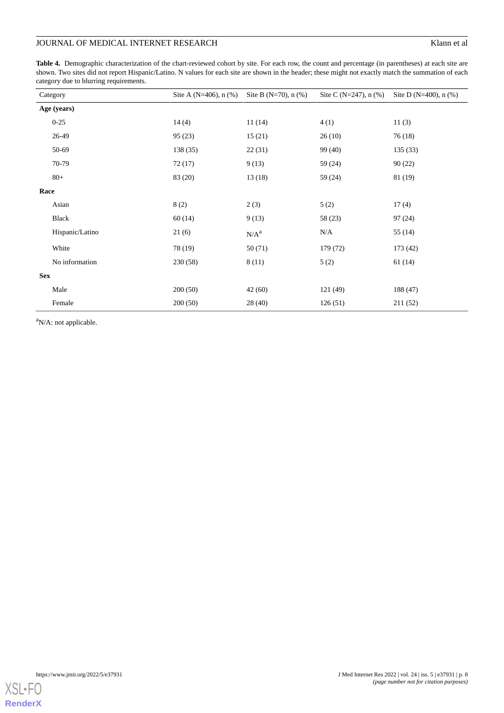<span id="page-7-0"></span>Table 4. Demographic characterization of the chart-reviewed cohort by site. For each row, the count and percentage (in parentheses) at each site are shown. Two sites did not report Hispanic/Latino. N values for each site are shown in the header; these might not exactly match the summation of each category due to blurring requirements.

|            | Category        | Site A (N=406), $n$ (%) | Site B (N=70), $n$ (%) | Site C (N=247), $n$ (%) | Site D (N=400), $n$ (%) |
|------------|-----------------|-------------------------|------------------------|-------------------------|-------------------------|
|            | Age (years)     |                         |                        |                         |                         |
|            | $0 - 25$        | 14(4)                   | 11(14)                 | 4(1)                    | 11(3)                   |
|            | 26-49           | 95(23)                  | 15(21)                 | 26(10)                  | 76 (18)                 |
|            | 50-69           | 138 (35)                | 22(31)                 | 99 (40)                 | 135(33)                 |
|            | 70-79           | 72(17)                  | 9(13)                  | 59 (24)                 | 90(22)                  |
|            | $80+$           | 83 (20)                 | 13(18)                 | 59 (24)                 | 81 (19)                 |
| Race       |                 |                         |                        |                         |                         |
|            | Asian           | 8(2)                    | 2(3)                   | 5(2)                    | 17(4)                   |
|            | Black           | 60(14)                  | 9(13)                  | 58 (23)                 | 97(24)                  |
|            | Hispanic/Latino | 21(6)                   | N/A <sup>a</sup>       | N/A                     | 55 (14)                 |
|            | White           | 78 (19)                 | 50(71)                 | 179 (72)                | 173 (42)                |
|            | No information  | 230(58)                 | 8(11)                  | 5(2)                    | 61(14)                  |
| <b>Sex</b> |                 |                         |                        |                         |                         |
|            | Male            | 200(50)                 | 42(60)                 | 121 (49)                | 188 (47)                |
|            | Female          | 200(50)                 | 28 (40)                | 126(51)                 | 211 (52)                |

<sup>a</sup>N/A: not applicable.

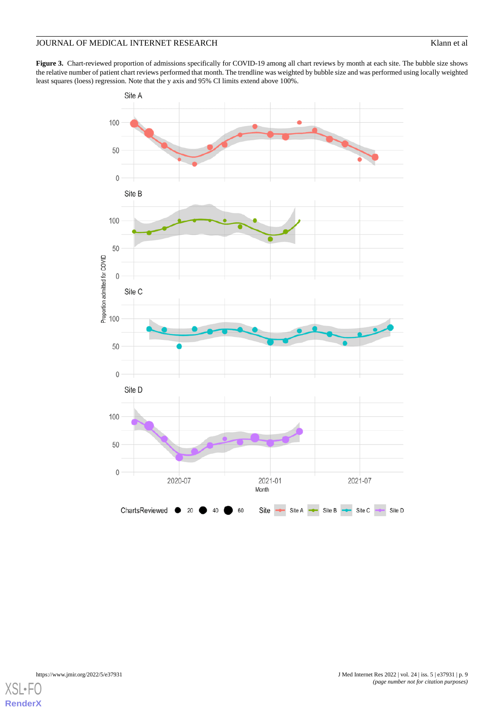<span id="page-8-0"></span>Figure 3. Chart-reviewed proportion of admissions specifically for COVID-19 among all chart reviews by month at each site. The bubble size shows the relative number of patient chart reviews performed that month. The trendline was weighted by bubble size and was performed using locally weighted least squares (loess) regression. Note that the y axis and 95% CI limits extend above 100%.



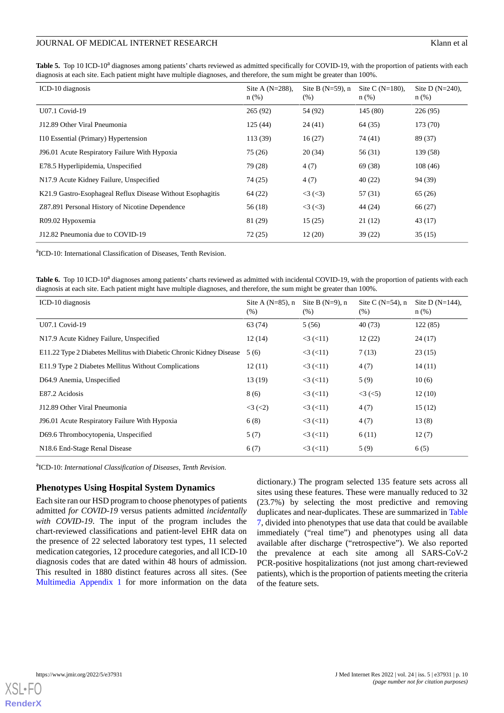<span id="page-9-0"></span>Table 5. Top 10 ICD-10<sup>a</sup> diagnoses among patients' charts reviewed as admitted specifically for COVID-19, with the proportion of patients with each diagnosis at each site. Each patient might have multiple diagnoses, and therefore, the sum might be greater than 100%.

| ICD-10 diagnosis                                           | Site A $(N=288)$ ,<br>$n$ (%) | Site B $(N=59)$ , n<br>(% ) | Site C $(N=180)$ .<br>$n$ (%) | Site D $(N=240)$ ,<br>$n$ (%) |
|------------------------------------------------------------|-------------------------------|-----------------------------|-------------------------------|-------------------------------|
| U07.1 Covid-19                                             | 265(92)                       | 54 (92)                     | 145 (80)                      | 226(95)                       |
| J12.89 Other Viral Pneumonia                               | 125(44)                       | 24(41)                      | 64(35)                        | 173 (70)                      |
| I10 Essential (Primary) Hypertension                       | 113(39)                       | 16(27)                      | 74 (41)                       | 89 (37)                       |
| J96.01 Acute Respiratory Failure With Hypoxia              | 75 (26)                       | 20(34)                      | 56 (31)                       | 139 (58)                      |
| E78.5 Hyperlipidemia, Unspecified                          | 79 (28)                       | 4(7)                        | 69 (38)                       | 108(46)                       |
| N17.9 Acute Kidney Failure, Unspecified                    | 74 (25)                       | 4(7)                        | 40(22)                        | 94 (39)                       |
| K21.9 Gastro-Esophageal Reflux Disease Without Esophagitis | 64 (22)                       | <3 (<3)                     | 57 (31)                       | 65(26)                        |
| Z87.891 Personal History of Nicotine Dependence            | 56(18)                        | <3 (<3)                     | 44 (24)                       | 66 (27)                       |
| R09.02 Hypoxemia                                           | 81 (29)                       | 15(25)                      | 21(12)                        | 43 (17)                       |
| J12.82 Pneumonia due to COVID-19                           | 72(25)                        | 12(20)                      | 39(22)                        | 35(15)                        |

<span id="page-9-1"></span><sup>a</sup>ICD-10: International Classification of Diseases, Tenth Revision.

Table 6. Top 10 ICD-10<sup>a</sup> diagnoses among patients' charts reviewed as admitted with incidental COVID-19, with the proportion of patients with each diagnosis at each site. Each patient might have multiple diagnoses, and therefore, the sum might be greater than 100%.

| ICD-10 diagnosis                                                     | Site A $(N=85)$ , n<br>$(\%)$ | Site B $(N=9)$ , n<br>(% ) | Site C $(N=54)$ , n<br>(% ) | Site D $(N=144)$ ,<br>$n$ (%) |
|----------------------------------------------------------------------|-------------------------------|----------------------------|-----------------------------|-------------------------------|
| U07.1 Covid-19                                                       | 63 (74)                       | 5(56)                      | 40(73)                      | 122(85)                       |
| N17.9 Acute Kidney Failure, Unspecified                              | 12(14)                        | $<3$ ( $<11$ )             | 12(22)                      | 24(17)                        |
| E11.22 Type 2 Diabetes Mellitus with Diabetic Chronic Kidney Disease | 5(6)                          | $<$ 3 $(<$ 11)             | 7(13)                       | 23(15)                        |
| E11.9 Type 2 Diabetes Mellitus Without Complications                 | 12(11)                        | $<3$ ( $<11$ )             | 4(7)                        | 14(11)                        |
| D64.9 Anemia, Unspecified                                            | 13(19)                        | $<3$ ( $<11$ )             | 5(9)                        | 10(6)                         |
| E87.2 Acidosis                                                       | 8 (6)                         | $<3$ ( $<11$ )             | $<3$ ( $<5$ )               | 12(10)                        |
| J12.89 Other Viral Pneumonia                                         | $<3$ ( $<$ 2)                 | $<3$ ( $<11$ )             | 4(7)                        | 15(12)                        |
| J96.01 Acute Respiratory Failure With Hypoxia                        | 6(8)                          | $<$ 3 $(<$ 11)             | 4(7)                        | 13(8)                         |
| D69.6 Thrombocytopenia, Unspecified                                  | 5(7)                          | $<3$ ( $<11$ )             | 6(11)                       | 12(7)                         |
| N18.6 End-Stage Renal Disease                                        | 6(7)                          | $3 \times (11)$            | 5(9)                        | 6(5)                          |

a ICD-10: *International Classification of Diseases, Tenth Revision*.

#### **Phenotypes Using Hospital System Dynamics**

Each site ran our HSD program to choose phenotypes of patients admitted *for COVID-19* versus patients admitted *incidentally with COVID-19*. The input of the program includes the chart-reviewed classifications and patient-level EHR data on the presence of 22 selected laboratory test types, 11 selected medication categories, 12 procedure categories, and all ICD-10 diagnosis codes that are dated within 48 hours of admission. This resulted in 1880 distinct features across all sites. (See [Multimedia Appendix 1](#page-15-6) for more information on the data

dictionary.) The program selected 135 feature sets across all sites using these features. These were manually reduced to 32 (23.7%) by selecting the most predictive and removing duplicates and near-duplicates. These are summarized in [Table](#page-10-0) [7,](#page-10-0) divided into phenotypes that use data that could be available immediately ("real time") and phenotypes using all data available after discharge ("retrospective"). We also reported the prevalence at each site among all SARS-CoV-2 PCR-positive hospitalizations (not just among chart-reviewed patients), which is the proportion of patients meeting the criteria of the feature sets.

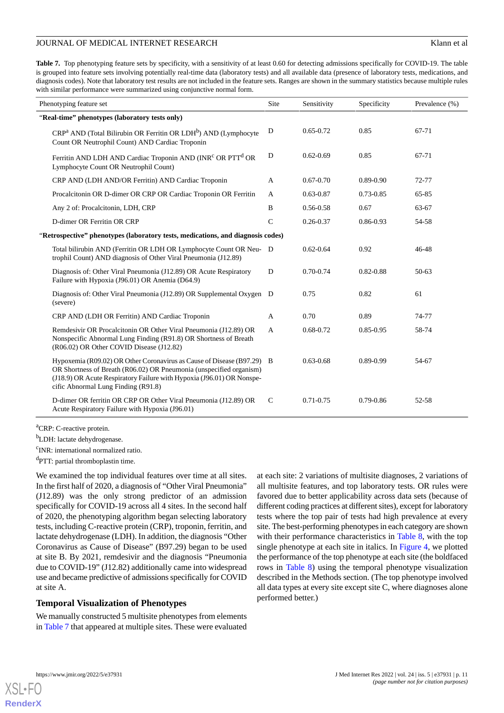<span id="page-10-0"></span>**Table 7.** Top phenotyping feature sets by specificity, with a sensitivity of at least 0.60 for detecting admissions specifically for COVID-19. The table is grouped into feature sets involving potentially real-time data (laboratory tests) and all available data (presence of laboratory tests, medications, and diagnosis codes). Note that laboratory test results are not included in the feature sets. Ranges are shown in the summary statistics because multiple rules with similar performance were summarized using conjunctive normal form.

| Phenotyping feature set                                                                                                                                                                                                                                       |                | Sensitivity   | Specificity   | Prevalence (%) |
|---------------------------------------------------------------------------------------------------------------------------------------------------------------------------------------------------------------------------------------------------------------|----------------|---------------|---------------|----------------|
| "Real-time" phenotypes (laboratory tests only)                                                                                                                                                                                                                |                |               |               |                |
| $CRPa AND$ (Total Bilirubin OR Ferritin OR LDH <sup>b</sup> ) AND (Lymphocyte<br>Count OR Neutrophil Count) AND Cardiac Troponin                                                                                                                              | D              | $0.65 - 0.72$ | 0.85          | 67-71          |
| Ferritin AND LDH AND Cardiac Troponin AND (INR <sup>c</sup> OR PTT <sup>d</sup> OR<br>Lymphocyte Count OR Neutrophil Count)                                                                                                                                   | D              | $0.62 - 0.69$ | 0.85          | 67-71          |
| CRP AND (LDH AND/OR Ferritin) AND Cardiac Troponin                                                                                                                                                                                                            | $\mathbf{A}$   | $0.67 - 0.70$ | $0.89 - 0.90$ | 72-77          |
| Procalcitonin OR D-dimer OR CRP OR Cardiac Troponin OR Ferritin                                                                                                                                                                                               | A              | $0.63 - 0.87$ | 0.73-0.85     | 65-85          |
| Any 2 of: Procalcitonin, LDH, CRP                                                                                                                                                                                                                             | B              | 0.56-0.58     | 0.67          | 63-67          |
| D-dimer OR Ferritin OR CRP                                                                                                                                                                                                                                    | $\mathsf{C}$   | $0.26 - 0.37$ | 0.86-0.93     | 54-58          |
| "Retrospective" phenotypes (laboratory tests, medications, and diagnosis codes)                                                                                                                                                                               |                |               |               |                |
| Total bilirubin AND (Ferritin OR LDH OR Lymphocyte Count OR Neu- D<br>trophil Count) AND diagnosis of Other Viral Pneumonia (J12.89)                                                                                                                          |                | $0.62 - 0.64$ | 0.92          | 46-48          |
| Diagnosis of: Other Viral Pneumonia (J12.89) OR Acute Respiratory<br>Failure with Hypoxia (J96.01) OR Anemia (D64.9)                                                                                                                                          | D              | $0.70 - 0.74$ | $0.82 - 0.88$ | $50-63$        |
| Diagnosis of: Other Viral Pneumonia (J12.89) OR Supplemental Oxygen D<br>(severe)                                                                                                                                                                             |                | 0.75          | 0.82          | 61             |
| CRP AND (LDH OR Ferritin) AND Cardiac Troponin                                                                                                                                                                                                                | A              | 0.70          | 0.89          | 74-77          |
| Remdesivir OR Procalcitonin OR Other Viral Pneumonia (J12.89) OR<br>Nonspecific Abnormal Lung Finding (R91.8) OR Shortness of Breath<br>(R06.02) OR Other COVID Disease (J12.82)                                                                              | $\overline{A}$ | $0.68 - 0.72$ | $0.85 - 0.95$ | 58-74          |
| Hypoxemia (R09.02) OR Other Coronavirus as Cause of Disease (B97.29) B<br>OR Shortness of Breath (R06.02) OR Pneumonia (unspecified organism)<br>(J18.9) OR Acute Respiratory Failure with Hypoxia (J96.01) OR Nonspe-<br>cific Abnormal Lung Finding (R91.8) |                | $0.63 - 0.68$ | $0.89 - 0.99$ | 54-67          |
| D-dimer OR ferritin OR CRP OR Other Viral Pneumonia (J12.89) OR<br>Acute Respiratory Failure with Hypoxia (J96.01)                                                                                                                                            | $\mathcal{C}$  | $0.71 - 0.75$ | $0.79 - 0.86$ | 52-58          |

<sup>a</sup>CRP: C-reactive protein.

<sup>b</sup>LDH: lactate dehydrogenase.

<sup>c</sup>INR: international normalized ratio.

<sup>d</sup>PTT: partial thromboplastin time.

We examined the top individual features over time at all sites. In the first half of 2020, a diagnosis of "Other Viral Pneumonia" (J12.89) was the only strong predictor of an admission specifically for COVID-19 across all 4 sites. In the second half of 2020, the phenotyping algorithm began selecting laboratory tests, including C-reactive protein (CRP), troponin, ferritin, and lactate dehydrogenase (LDH). In addition, the diagnosis "Other Coronavirus as Cause of Disease" (B97.29) began to be used at site B. By 2021, remdesivir and the diagnosis "Pneumonia due to COVID-19" (J12.82) additionally came into widespread use and became predictive of admissions specifically for COVID at site A.

#### **Temporal Visualization of Phenotypes**

We manually constructed 5 multisite phenotypes from elements in [Table 7](#page-10-0) that appeared at multiple sites. These were evaluated

at each site: 2 variations of multisite diagnoses, 2 variations of all multisite features, and top laboratory tests. OR rules were favored due to better applicability across data sets (because of different coding practices at different sites), except for laboratory tests where the top pair of tests had high prevalence at every site. The best-performing phenotypes in each category are shown with their performance characteristics in [Table 8](#page-11-0), with the top single phenotype at each site in italics. In [Figure 4,](#page-12-0) we plotted the performance of the top phenotype at each site (the boldfaced rows in [Table 8\)](#page-11-0) using the temporal phenotype visualization described in the Methods section. (The top phenotype involved all data types at every site except site C, where diagnoses alone performed better.)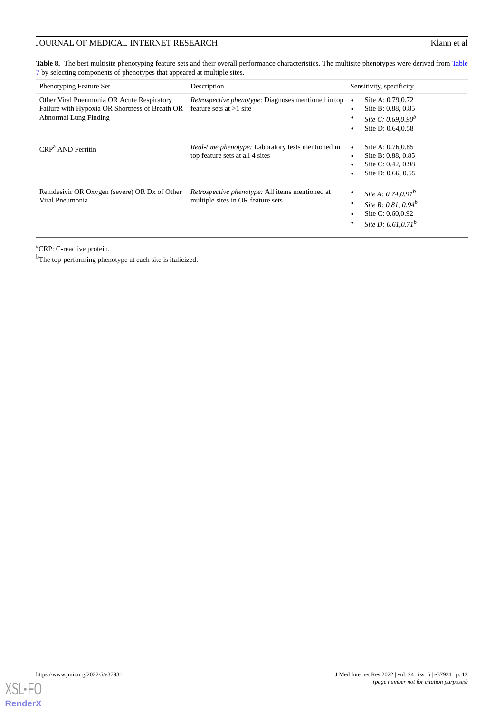<span id="page-11-0"></span>[Table](#page-10-0) 8. The best multisite phenotyping feature sets and their overall performance characteristics. The multisite phenotypes were derived from Table [7](#page-10-0) by selecting components of phenotypes that appeared at multiple sites.

| <b>Phenotyping Feature Set</b>                                                                                               | Description                                                                                       | Sensitivity, specificity                                                                         |
|------------------------------------------------------------------------------------------------------------------------------|---------------------------------------------------------------------------------------------------|--------------------------------------------------------------------------------------------------|
| Other Viral Pneumonia OR Acute Respiratory<br>Failure with Hypoxia OR Shortness of Breath OR<br><b>Abnormal Lung Finding</b> | <i>Retrospective phenotype:</i> Diagnoses mentioned in top $\bullet$<br>feature sets at $>1$ site | Site A: 0.79,0.72<br>Site B: 0.88, 0.85<br>Site C: $0.69, 0.90^b$<br>Site D: 0.64,0.58           |
| $CRPa$ AND Ferritin                                                                                                          | Real-time phenotype: Laboratory tests mentioned in<br>top feature sets at all 4 sites             | Site A: 0.76,0.85<br>Site B: 0.88, 0.85<br>Site C: 0.42, 0.98<br>Site D: $0.66, 0.55$            |
| Remdesivir OR Oxygen (severe) OR Dx of Other<br>Viral Pneumonia                                                              | <i>Retrospective phenotype:</i> All items mentioned at<br>multiple sites in OR feature sets       | Site A: $0.74, 0.91^b$<br>Site B: 0.81, 0.94 $^b$<br>Site C: 0.60,0.92<br>Site D: $0.61, 0.71^b$ |

<sup>a</sup>CRP: C-reactive protein.

<sup>b</sup>The top-performing phenotype at each site is italicized.

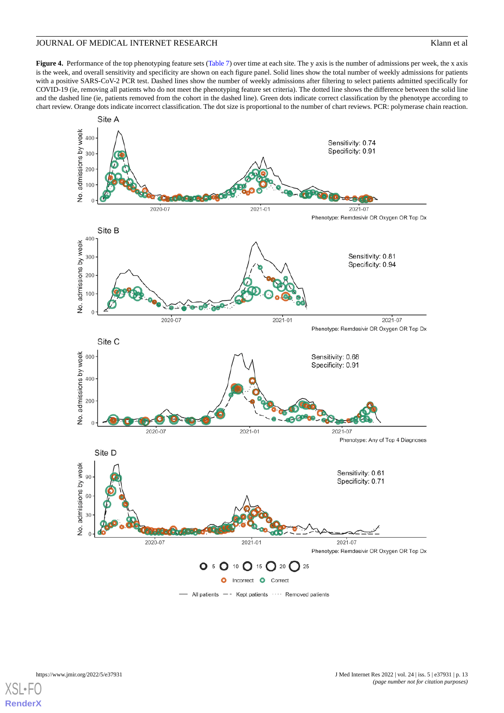<span id="page-12-0"></span>**Figure 4.** Performance of the top phenotyping feature sets [\(Table 7](#page-10-0)) over time at each site. The y axis is the number of admissions per week, the x axis is the week, and overall sensitivity and specificity are shown on each figure panel. Solid lines show the total number of weekly admissions for patients with a positive SARS-CoV-2 PCR test. Dashed lines show the number of weekly admissions after filtering to select patients admitted specifically for COVID-19 (ie, removing all patients who do not meet the phenotyping feature set criteria). The dotted line shows the difference between the solid line and the dashed line (ie, patients removed from the cohort in the dashed line). Green dots indicate correct classification by the phenotype according to chart review. Orange dots indicate incorrect classification. The dot size is proportional to the number of chart reviews. PCR: polymerase chain reaction.

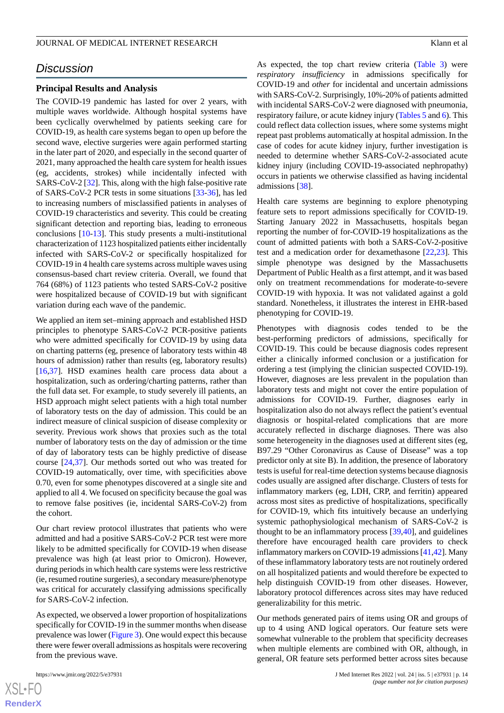# *Discussion*

#### **Principal Results and Analysis**

The COVID-19 pandemic has lasted for over 2 years, with multiple waves worldwide. Although hospital systems have been cyclically overwhelmed by patients seeking care for COVID-19, as health care systems began to open up before the second wave, elective surgeries were again performed starting in the later part of 2020, and especially in the second quarter of 2021, many approached the health care system for health issues (eg, accidents, strokes) while incidentally infected with SARS-CoV-2 [\[32](#page-17-3)]. This, along with the high false-positive rate of SARS-CoV-2 PCR tests in some situations [[33-](#page-17-4)[36\]](#page-17-5), has led to increasing numbers of misclassified patients in analyses of COVID-19 characteristics and severity. This could be creating significant detection and reporting bias, leading to erroneous conclusions [\[10](#page-16-2)-[13\]](#page-16-18). This study presents a multi-institutional characterization of 1123 hospitalized patients either incidentally infected with SARS-CoV-2 or specifically hospitalized for COVID-19 in 4 health care systems across multiple waves using consensus-based chart review criteria. Overall, we found that 764 (68%) of 1123 patients who tested SARS-CoV-2 positive were hospitalized because of COVID-19 but with significant variation during each wave of the pandemic.

We applied an item set–mining approach and established HSD principles to phenotype SARS-CoV-2 PCR-positive patients who were admitted specifically for COVID-19 by using data on charting patterns (eg, presence of laboratory tests within 48 hours of admission) rather than results (eg, laboratory results) [[16](#page-16-5)[,37](#page-17-6)]. HSD examines health care process data about a hospitalization, such as ordering/charting patterns, rather than the full data set. For example, to study severely ill patients, an HSD approach might select patients with a high total number of laboratory tests on the day of admission. This could be an indirect measure of clinical suspicion of disease complexity or severity. Previous work shows that proxies such as the total number of laboratory tests on the day of admission or the time of day of laboratory tests can be highly predictive of disease course [[24,](#page-16-13)[37](#page-17-6)]. Our methods sorted out who was treated for COVID-19 automatically, over time, with specificities above 0.70, even for some phenotypes discovered at a single site and applied to all 4. We focused on specificity because the goal was to remove false positives (ie, incidental SARS-CoV-2) from the cohort.

Our chart review protocol illustrates that patients who were admitted and had a positive SARS-CoV-2 PCR test were more likely to be admitted specifically for COVID-19 when disease prevalence was high (at least prior to Omicron). However, during periods in which health care systems were less restrictive (ie, resumed routine surgeries), a secondary measure/phenotype was critical for accurately classifying admissions specifically for SARS-CoV-2 infection.

As expected, we observed a lower proportion of hospitalizations specifically for COVID-19 in the summer months when disease prevalence was lower [\(Figure 3](#page-8-0)). One would expect this because there were fewer overall admissions as hospitals were recovering from the previous wave.

As expected, the top chart review criteria ([Table 3\)](#page-6-0) were *respiratory insufficiency* in admissions specifically for COVID-19 and *other* for incidental and uncertain admissions with SARS-CoV-2. Surprisingly, 10%-20% of patients admitted with incidental SARS-CoV-2 were diagnosed with pneumonia, respiratory failure, or acute kidney injury ([Tables 5](#page-9-0) and [6](#page-9-1)). This could reflect data collection issues, where some systems might repeat past problems automatically at hospital admission. In the case of codes for acute kidney injury, further investigation is needed to determine whether SARS-CoV-2-associated acute kidney injury (including COVID-19-associated nephropathy) occurs in patients we otherwise classified as having incidental admissions [[38\]](#page-17-7).

Health care systems are beginning to explore phenotyping feature sets to report admissions specifically for COVID-19. Starting January 2022 in Massachusetts, hospitals began reporting the number of for-COVID-19 hospitalizations as the count of admitted patients with both a SARS-CoV-2-positive test and a medication order for dexamethasone [\[22](#page-16-11),[23\]](#page-16-12). This simple phenotype was designed by the Massachusetts Department of Public Health as a first attempt, and it was based only on treatment recommendations for moderate-to-severe COVID-19 with hypoxia. It was not validated against a gold standard. Nonetheless, it illustrates the interest in EHR-based phenotyping for COVID-19.

Phenotypes with diagnosis codes tended to be the best-performing predictors of admissions, specifically for COVID-19. This could be because diagnosis codes represent either a clinically informed conclusion or a justification for ordering a test (implying the clinician suspected COVID-19). However, diagnoses are less prevalent in the population than laboratory tests and might not cover the entire population of admissions for COVID-19. Further, diagnoses early in hospitalization also do not always reflect the patient's eventual diagnosis or hospital-related complications that are more accurately reflected in discharge diagnoses. There was also some heterogeneity in the diagnoses used at different sites (eg, B97.29 "Other Coronavirus as Cause of Disease" was a top predictor only at site B). In addition, the presence of laboratory tests is useful for real-time detection systems because diagnosis codes usually are assigned after discharge. Clusters of tests for inflammatory markers (eg, LDH, CRP, and ferritin) appeared across most sites as predictive of hospitalizations, specifically for COVID-19, which fits intuitively because an underlying systemic pathophysiological mechanism of SARS-CoV-2 is thought to be an inflammatory process [[39](#page-17-8)[,40](#page-17-9)], and guidelines therefore have encouraged health care providers to check inflammatory markers on COVID-19 admissions [[41](#page-17-10)[,42](#page-17-11)]. Many of these inflammatory laboratory tests are not routinely ordered on all hospitalized patients and would therefore be expected to help distinguish COVID-19 from other diseases. However, laboratory protocol differences across sites may have reduced generalizability for this metric.

Our methods generated pairs of items using OR and groups of up to 4 using AND logical operators. Our feature sets were somewhat vulnerable to the problem that specificity decreases when multiple elements are combined with OR, although, in general, OR feature sets performed better across sites because

 $XS$ -FO **[RenderX](http://www.renderx.com/)**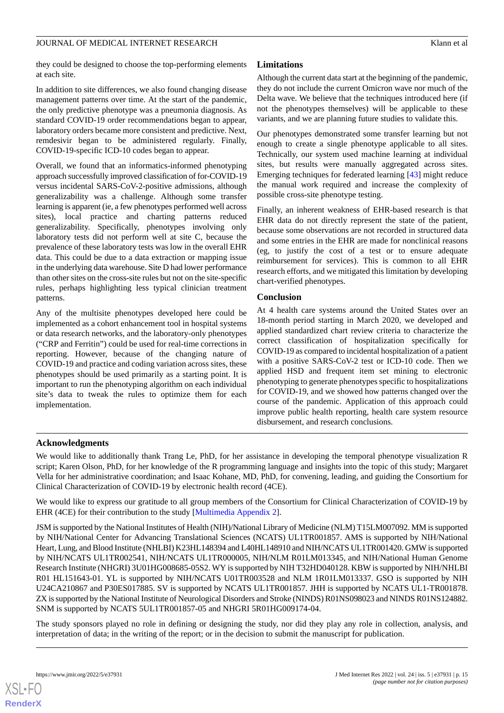they could be designed to choose the top-performing elements at each site.

In addition to site differences, we also found changing disease management patterns over time. At the start of the pandemic, the only predictive phenotype was a pneumonia diagnosis. As standard COVID-19 order recommendations began to appear, laboratory orders became more consistent and predictive. Next, remdesivir began to be administered regularly. Finally, COVID-19-specific ICD-10 codes began to appear.

Overall, we found that an informatics-informed phenotyping approach successfully improved classification of for-COVID-19 versus incidental SARS-CoV-2-positive admissions, although generalizability was a challenge. Although some transfer learning is apparent (ie, a few phenotypes performed well across sites), local practice and charting patterns reduced generalizability. Specifically, phenotypes involving only laboratory tests did not perform well at site C, because the prevalence of these laboratory tests was low in the overall EHR data. This could be due to a data extraction or mapping issue in the underlying data warehouse. Site D had lower performance than other sites on the cross-site rules but not on the site-specific rules, perhaps highlighting less typical clinician treatment patterns.

Any of the multisite phenotypes developed here could be implemented as a cohort enhancement tool in hospital systems or data research networks, and the laboratory-only phenotypes ("CRP and Ferritin") could be used for real-time corrections in reporting. However, because of the changing nature of COVID-19 and practice and coding variation across sites, these phenotypes should be used primarily as a starting point. It is important to run the phenotyping algorithm on each individual site's data to tweak the rules to optimize them for each implementation.

### **Limitations**

Although the current data start at the beginning of the pandemic, they do not include the current Omicron wave nor much of the Delta wave. We believe that the techniques introduced here (if not the phenotypes themselves) will be applicable to these variants, and we are planning future studies to validate this.

Our phenotypes demonstrated some transfer learning but not enough to create a single phenotype applicable to all sites. Technically, our system used machine learning at individual sites, but results were manually aggregated across sites. Emerging techniques for federated learning [\[43](#page-17-12)] might reduce the manual work required and increase the complexity of possible cross-site phenotype testing.

Finally, an inherent weakness of EHR-based research is that EHR data do not directly represent the state of the patient, because some observations are not recorded in structured data and some entries in the EHR are made for nonclinical reasons (eg, to justify the cost of a test or to ensure adequate reimbursement for services). This is common to all EHR research efforts, and we mitigated this limitation by developing chart-verified phenotypes.

#### **Conclusion**

At 4 health care systems around the United States over an 18-month period starting in March 2020, we developed and applied standardized chart review criteria to characterize the correct classification of hospitalization specifically for COVID-19 as compared to incidental hospitalization of a patient with a positive SARS-CoV-2 test or ICD-10 code. Then we applied HSD and frequent item set mining to electronic phenotyping to generate phenotypes specific to hospitalizations for COVID-19, and we showed how patterns changed over the course of the pandemic. Application of this approach could improve public health reporting, health care system resource disbursement, and research conclusions.

#### **Acknowledgments**

We would like to additionally thank Trang Le, PhD, for her assistance in developing the temporal phenotype visualization R script; Karen Olson, PhD, for her knowledge of the R programming language and insights into the topic of this study; Margaret Vella for her administrative coordination; and Isaac Kohane, MD, PhD, for convening, leading, and guiding the Consortium for Clinical Characterization of COVID-19 by electronic health record (4CE).

We would like to express our gratitude to all group members of the Consortium for Clinical Characterization of COVID-19 by EHR (4CE) for their contribution to the study [[Multimedia Appendix 2\]](#page-15-7).

JSM is supported by the National Institutes of Health (NIH)/National Library of Medicine (NLM) T15LM007092. MM is supported by NIH/National Center for Advancing Translational Sciences (NCATS) UL1TR001857. AMS is supported by NIH/National Heart, Lung, and Blood Institute (NHLBI) K23HL148394 and L40HL148910 and NIH/NCATS UL1TR001420. GMW is supported by NIH/NCATS UL1TR002541, NIH/NCATS UL1TR000005, NIH/NLM R01LM013345, and NIH/National Human Genome Research Institute (NHGRI) 3U01HG008685-05S2. WY is supported by NIH T32HD040128. KBW is supported by NIH/NHLBI R01 HL151643-01. YL is supported by NIH/NCATS U01TR003528 and NLM 1R01LM013337. GSO is supported by NIH U24CA210867 and P30ES017885. SV is supported by NCATS UL1TR001857. JHH is supported by NCATS UL1-TR001878. ZX is supported by the National Institute of Neurological Disorders and Stroke (NINDS) R01NS098023 and NINDS R01NS124882. SNM is supported by NCATS 5UL1TR001857-05 and NHGRI 5R01HG009174-04.

The study sponsors played no role in defining or designing the study, nor did they play any role in collection, analysis, and interpretation of data; in the writing of the report; or in the decision to submit the manuscript for publication.

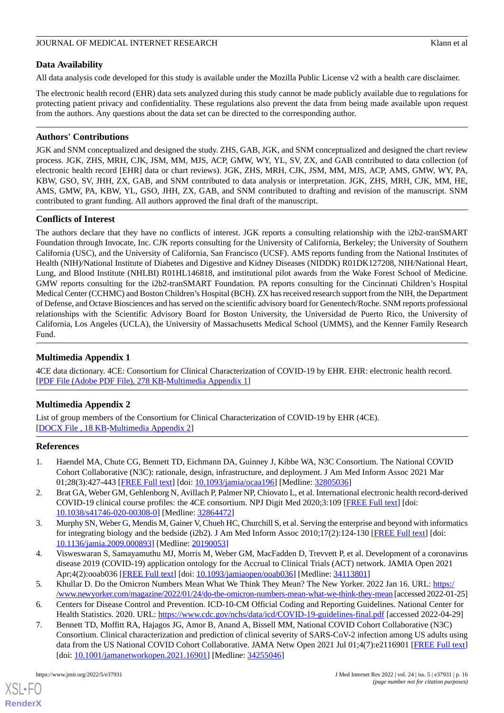# **Data Availability**

All data analysis code developed for this study is available under the Mozilla Public License v2 with a health care disclaimer.

The electronic health record (EHR) data sets analyzed during this study cannot be made publicly available due to regulations for protecting patient privacy and confidentiality. These regulations also prevent the data from being made available upon request from the authors. Any questions about the data set can be directed to the corresponding author.

# **Authors' Contributions**

JGK and SNM conceptualized and designed the study. ZHS, GAB, JGK, and SNM conceptualized and designed the chart review process. JGK, ZHS, MRH, CJK, JSM, MM, MJS, ACP, GMW, WY, YL, SV, ZX, and GAB contributed to data collection (of electronic health record [EHR] data or chart reviews). JGK, ZHS, MRH, CJK, JSM, MM, MJS, ACP, AMS, GMW, WY, PA, KBW, GSO, SV, JHH, ZX, GAB, and SNM contributed to data analysis or interpretation. JGK, ZHS, MRH, CJK, MM, HE, AMS, GMW, PA, KBW, YL, GSO, JHH, ZX, GAB, and SNM contributed to drafting and revision of the manuscript. SNM contributed to grant funding. All authors approved the final draft of the manuscript.

# **Conflicts of Interest**

The authors declare that they have no conflicts of interest. JGK reports a consulting relationship with the i2b2-tranSMART Foundation through Invocate, Inc. CJK reports consulting for the University of California, Berkeley; the University of Southern California (USC), and the University of California, San Francisco (UCSF). AMS reports funding from the National Institutes of Health (NIH)/National Institute of Diabetes and Digestive and Kidney Diseases (NIDDK) R01DK127208, NIH/National Heart, Lung, and Blood Institute (NHLBI) R01HL146818, and institutional pilot awards from the Wake Forest School of Medicine. GMW reports consulting for the i2b2-tranSMART Foundation. PA reports consulting for the Cincinnati Children's Hospital Medical Center (CCHMC) and Boston Children's Hospital (BCH). ZX has received research support from the NIH, the Department of Defense, and Octave Biosciences and has served on the scientific advisory board for Genentech/Roche. SNM reports professional relationships with the Scientific Advisory Board for Boston University, the Universidad de Puerto Rico, the University of California, Los Angeles (UCLA), the University of Massachusetts Medical School (UMMS), and the Kenner Family Research Fund.

# <span id="page-15-6"></span>**Multimedia Appendix 1**

<span id="page-15-7"></span>4CE data dictionary. 4CE: Consortium for Clinical Characterization of COVID-19 by EHR. EHR: electronic health record. [[PDF File \(Adobe PDF File\), 278 KB](https://jmir.org/api/download?alt_name=jmir_v24i5e37931_app1.pdf&filename=10d3a9562981e83db90331d8699ca0de.pdf)-[Multimedia Appendix 1\]](https://jmir.org/api/download?alt_name=jmir_v24i5e37931_app1.pdf&filename=10d3a9562981e83db90331d8699ca0de.pdf)

# **Multimedia Appendix 2**

<span id="page-15-0"></span>List of group members of the Consortium for Clinical Characterization of COVID-19 by EHR (4CE). [[DOCX File , 18 KB](https://jmir.org/api/download?alt_name=jmir_v24i5e37931_app2.docx&filename=cca7c8fc24939374601cc26e3a977565.docx)-[Multimedia Appendix 2\]](https://jmir.org/api/download?alt_name=jmir_v24i5e37931_app2.docx&filename=cca7c8fc24939374601cc26e3a977565.docx)

# <span id="page-15-5"></span>**References**

- 1. Haendel MA, Chute CG, Bennett TD, Eichmann DA, Guinney J, Kibbe WA, N3C Consortium. The National COVID Cohort Collaborative (N3C): rationale, design, infrastructure, and deployment. J Am Med Inform Assoc 2021 Mar 01;28(3):427-443 [[FREE Full text](http://europepmc.org/abstract/MED/32805036)] [doi: [10.1093/jamia/ocaa196](http://dx.doi.org/10.1093/jamia/ocaa196)] [Medline: [32805036\]](http://www.ncbi.nlm.nih.gov/entrez/query.fcgi?cmd=Retrieve&db=PubMed&list_uids=32805036&dopt=Abstract)
- <span id="page-15-1"></span>2. Brat GA, Weber GM, Gehlenborg N, Avillach P, Palmer NP, Chiovato L, et al. International electronic health record-derived COVID-19 clinical course profiles: the 4CE consortium. NPJ Digit Med 2020;3:109 [\[FREE Full text\]](https://doi.org/10.1038/s41746-020-00308-0) [doi: [10.1038/s41746-020-00308-0\]](http://dx.doi.org/10.1038/s41746-020-00308-0) [Medline: [32864472\]](http://www.ncbi.nlm.nih.gov/entrez/query.fcgi?cmd=Retrieve&db=PubMed&list_uids=32864472&dopt=Abstract)
- <span id="page-15-2"></span>3. Murphy SN, Weber G, Mendis M, Gainer V, Chueh HC, Churchill S, et al. Serving the enterprise and beyond with informatics for integrating biology and the bedside (i2b2). J Am Med Inform Assoc 2010;17(2):124-130 [[FREE Full text](http://europepmc.org/abstract/MED/20190053)] [doi: [10.1136/jamia.2009.000893](http://dx.doi.org/10.1136/jamia.2009.000893)] [Medline: [20190053\]](http://www.ncbi.nlm.nih.gov/entrez/query.fcgi?cmd=Retrieve&db=PubMed&list_uids=20190053&dopt=Abstract)
- <span id="page-15-4"></span><span id="page-15-3"></span>4. Visweswaran S, Samayamuthu MJ, Morris M, Weber GM, MacFadden D, Trevvett P, et al. Development of a coronavirus disease 2019 (COVID-19) application ontology for the Accrual to Clinical Trials (ACT) network. JAMIA Open 2021 Apr;4(2):ooab036 [[FREE Full text\]](http://europepmc.org/abstract/MED/34113801) [doi: [10.1093/jamiaopen/ooab036](http://dx.doi.org/10.1093/jamiaopen/ooab036)] [Medline: [34113801](http://www.ncbi.nlm.nih.gov/entrez/query.fcgi?cmd=Retrieve&db=PubMed&list_uids=34113801&dopt=Abstract)]
- 5. Khullar D. Do the Omicron Numbers Mean What We Think They Mean? The New Yorker. 2022 Jan 16. URL: [https:/](https://www.newyorker.com/magazine/2022/01/24/do-the-omicron-numbers-mean-what-we-think-they-mean) [/www.newyorker.com/magazine/2022/01/24/do-the-omicron-numbers-mean-what-we-think-they-mean](https://www.newyorker.com/magazine/2022/01/24/do-the-omicron-numbers-mean-what-we-think-they-mean) [accessed 2022-01-25]
- 6. Centers for Disease Control and Prevention. ICD-10-CM Official Coding and Reporting Guidelines. National Center for Health Statistics. 2020. URL:<https://www.cdc.gov/nchs/data/icd/COVID-19-guidelines-final.pdf> [accessed 2022-04-29]
- 7. Bennett TD, Moffitt RA, Hajagos JG, Amor B, Anand A, Bissell MM, National COVID Cohort Collaborative (N3C) Consortium. Clinical characterization and prediction of clinical severity of SARS-CoV-2 infection among US adults using data from the US National COVID Cohort Collaborative. JAMA Netw Open 2021 Jul 01;4(7):e2116901 [\[FREE Full text](https://jamanetwork.com/journals/jamanetworkopen/fullarticle/10.1001/jamanetworkopen.2021.16901)] [doi: [10.1001/jamanetworkopen.2021.16901\]](http://dx.doi.org/10.1001/jamanetworkopen.2021.16901) [Medline: [34255046](http://www.ncbi.nlm.nih.gov/entrez/query.fcgi?cmd=Retrieve&db=PubMed&list_uids=34255046&dopt=Abstract)]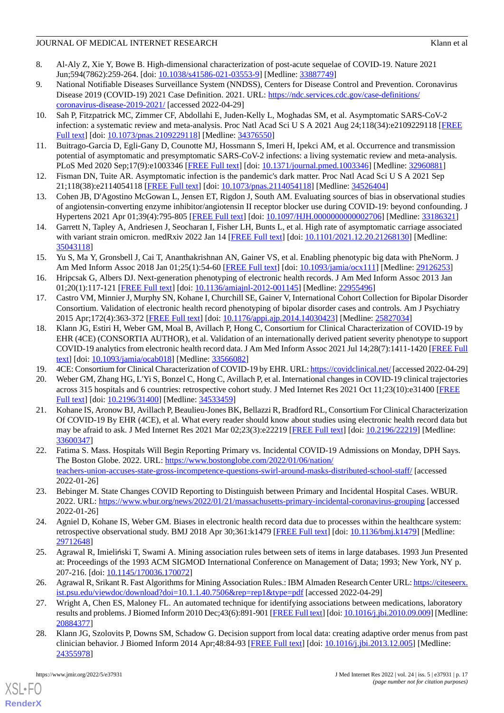- <span id="page-16-0"></span>8. Al-Aly Z, Xie Y, Bowe B. High-dimensional characterization of post-acute sequelae of COVID-19. Nature 2021 Jun;594(7862):259-264. [doi: [10.1038/s41586-021-03553-9](http://dx.doi.org/10.1038/s41586-021-03553-9)] [Medline: [33887749](http://www.ncbi.nlm.nih.gov/entrez/query.fcgi?cmd=Retrieve&db=PubMed&list_uids=33887749&dopt=Abstract)]
- <span id="page-16-1"></span>9. National Notifiable Diseases Surveillance System (NNDSS), Centers for Disease Control and Prevention. Coronavirus Disease 2019 (COVID-19) 2021 Case Definition. 2021. URL: [https://ndc.services.cdc.gov/case-definitions/](https://ndc.services.cdc.gov/case-definitions/coronavirus-disease-2019-2021/) [coronavirus-disease-2019-2021/](https://ndc.services.cdc.gov/case-definitions/coronavirus-disease-2019-2021/) [accessed 2022-04-29]
- <span id="page-16-2"></span>10. Sah P, Fitzpatrick MC, Zimmer CF, Abdollahi E, Juden-Kelly L, Moghadas SM, et al. Asymptomatic SARS-CoV-2 infection: a systematic review and meta-analysis. Proc Natl Acad Sci U S A 2021 Aug 24;118(34):e2109229118 [[FREE](https://www.pnas.org/doi/abs/10.1073/pnas.2109229118?url_ver=Z39.88-2003&rfr_id=ori:rid:crossref.org&rfr_dat=cr_pub%3dpubmed) [Full text\]](https://www.pnas.org/doi/abs/10.1073/pnas.2109229118?url_ver=Z39.88-2003&rfr_id=ori:rid:crossref.org&rfr_dat=cr_pub%3dpubmed) [doi: [10.1073/pnas.2109229118](http://dx.doi.org/10.1073/pnas.2109229118)] [Medline: [34376550](http://www.ncbi.nlm.nih.gov/entrez/query.fcgi?cmd=Retrieve&db=PubMed&list_uids=34376550&dopt=Abstract)]
- 11. Buitrago-Garcia D, Egli-Gany D, Counotte MJ, Hossmann S, Imeri H, Ipekci AM, et al. Occurrence and transmission potential of asymptomatic and presymptomatic SARS-CoV-2 infections: a living systematic review and meta-analysis. PLoS Med 2020 Sep;17(9):e1003346 [\[FREE Full text](https://dx.plos.org/10.1371/journal.pmed.1003346)] [doi: [10.1371/journal.pmed.1003346\]](http://dx.doi.org/10.1371/journal.pmed.1003346) [Medline: [32960881](http://www.ncbi.nlm.nih.gov/entrez/query.fcgi?cmd=Retrieve&db=PubMed&list_uids=32960881&dopt=Abstract)]
- <span id="page-16-18"></span>12. Fisman DN, Tuite AR. Asymptomatic infection is the pandemic's dark matter. Proc Natl Acad Sci U S A 2021 Sep 21;118(38):e2114054118 [\[FREE Full text](https://www.pnas.org/doi/abs/10.1073/pnas.2114054118?url_ver=Z39.88-2003&rfr_id=ori:rid:crossref.org&rfr_dat=cr_pub%3dpubmed)] [doi: [10.1073/pnas.2114054118\]](http://dx.doi.org/10.1073/pnas.2114054118) [Medline: [34526404\]](http://www.ncbi.nlm.nih.gov/entrez/query.fcgi?cmd=Retrieve&db=PubMed&list_uids=34526404&dopt=Abstract)
- <span id="page-16-3"></span>13. Cohen JB, D'Agostino McGowan L, Jensen ET, Rigdon J, South AM. Evaluating sources of bias in observational studies of angiotensin-converting enzyme inhibitor/angiotensin II receptor blocker use during COVID-19: beyond confounding. J Hypertens 2021 Apr 01;39(4):795-805 [\[FREE Full text\]](http://europepmc.org/abstract/MED/33186321) [doi: [10.1097/HJH.0000000000002706\]](http://dx.doi.org/10.1097/HJH.0000000000002706) [Medline: [33186321\]](http://www.ncbi.nlm.nih.gov/entrez/query.fcgi?cmd=Retrieve&db=PubMed&list_uids=33186321&dopt=Abstract)
- <span id="page-16-4"></span>14. Garrett N, Tapley A, Andriesen J, Seocharan I, Fisher LH, Bunts L, et al. High rate of asymptomatic carriage associated with variant strain omicron. medRxiv 2022 Jan 14 [[FREE Full text](https://doi.org/10.1101/2021.12.20.21268130)] [doi: [10.1101/2021.12.20.21268130](http://dx.doi.org/10.1101/2021.12.20.21268130)] [Medline: [35043118](http://www.ncbi.nlm.nih.gov/entrez/query.fcgi?cmd=Retrieve&db=PubMed&list_uids=35043118&dopt=Abstract)]
- <span id="page-16-5"></span>15. Yu S, Ma Y, Gronsbell J, Cai T, Ananthakrishnan AN, Gainer VS, et al. Enabling phenotypic big data with PheNorm. J Am Med Inform Assoc 2018 Jan 01;25(1):54-60 [[FREE Full text](http://europepmc.org/abstract/MED/29126253)] [doi: [10.1093/jamia/ocx111](http://dx.doi.org/10.1093/jamia/ocx111)] [Medline: [29126253\]](http://www.ncbi.nlm.nih.gov/entrez/query.fcgi?cmd=Retrieve&db=PubMed&list_uids=29126253&dopt=Abstract)
- <span id="page-16-6"></span>16. Hripcsak G, Albers DJ. Next-generation phenotyping of electronic health records. J Am Med Inform Assoc 2013 Jan 01;20(1):117-121 [[FREE Full text](http://europepmc.org/abstract/MED/22955496)] [doi: [10.1136/amiajnl-2012-001145](http://dx.doi.org/10.1136/amiajnl-2012-001145)] [Medline: [22955496](http://www.ncbi.nlm.nih.gov/entrez/query.fcgi?cmd=Retrieve&db=PubMed&list_uids=22955496&dopt=Abstract)]
- <span id="page-16-7"></span>17. Castro VM, Minnier J, Murphy SN, Kohane I, Churchill SE, Gainer V, International Cohort Collection for Bipolar Disorder Consortium. Validation of electronic health record phenotyping of bipolar disorder cases and controls. Am J Psychiatry 2015 Apr;172(4):363-372 [[FREE Full text](http://europepmc.org/abstract/MED/25827034)] [doi: [10.1176/appi.ajp.2014.14030423\]](http://dx.doi.org/10.1176/appi.ajp.2014.14030423) [Medline: [25827034\]](http://www.ncbi.nlm.nih.gov/entrez/query.fcgi?cmd=Retrieve&db=PubMed&list_uids=25827034&dopt=Abstract)
- <span id="page-16-9"></span><span id="page-16-8"></span>18. Klann JG, Estiri H, Weber GM, Moal B, Avillach P, Hong C, Consortium for Clinical Characterization of COVID-19 by EHR (4CE) (CONSORTIA AUTHOR), et al. Validation of an internationally derived patient severity phenotype to support COVID-19 analytics from electronic health record data. J Am Med Inform Assoc 2021 Jul 14;28(7):1411-1420 [\[FREE Full](http://europepmc.org/abstract/MED/33566082) [text](http://europepmc.org/abstract/MED/33566082)] [doi: [10.1093/jamia/ocab018\]](http://dx.doi.org/10.1093/jamia/ocab018) [Medline: [33566082](http://www.ncbi.nlm.nih.gov/entrez/query.fcgi?cmd=Retrieve&db=PubMed&list_uids=33566082&dopt=Abstract)]
- <span id="page-16-10"></span>19. 4CE: Consortium for Clinical Characterization of COVID-19 by EHR. URL:<https://covidclinical.net/> [accessed 2022-04-29]
- 20. Weber GM, Zhang HG, L'Yi S, Bonzel C, Hong C, Avillach P, et al. International changes in COVID-19 clinical trajectories across 315 hospitals and 6 countries: retrospective cohort study. J Med Internet Res 2021 Oct 11;23(10):e31400 [\[FREE](https://www.jmir.org/2021/10/e31400/) [Full text\]](https://www.jmir.org/2021/10/e31400/) [doi: [10.2196/31400\]](http://dx.doi.org/10.2196/31400) [Medline: [34533459](http://www.ncbi.nlm.nih.gov/entrez/query.fcgi?cmd=Retrieve&db=PubMed&list_uids=34533459&dopt=Abstract)]
- <span id="page-16-11"></span>21. Kohane IS, Aronow BJ, Avillach P, Beaulieu-Jones BK, Bellazzi R, Bradford RL, Consortium For Clinical Characterization Of COVID-19 By EHR (4CE), et al. What every reader should know about studies using electronic health record data but may be afraid to ask. J Med Internet Res 2021 Mar 02;23(3):e22219 [\[FREE Full text\]](https://www.jmir.org/2021/3/e22219/) [doi: [10.2196/22219](http://dx.doi.org/10.2196/22219)] [Medline: [33600347](http://www.ncbi.nlm.nih.gov/entrez/query.fcgi?cmd=Retrieve&db=PubMed&list_uids=33600347&dopt=Abstract)]
- <span id="page-16-13"></span><span id="page-16-12"></span>22. Fatima S. Mass. Hospitals Will Begin Reporting Primary vs. Incidental COVID-19 Admissions on Monday, DPH Says. The Boston Globe. 2022. URL: [https://www.bostonglobe.com/2022/01/06/nation/](https://www.bostonglobe.com/2022/01/06/nation/teachers-union-accuses-state-gross-incompetence-questions-swirl-around-masks-distributed-school-staff/) [teachers-union-accuses-state-gross-incompetence-questions-swirl-around-masks-distributed-school-staff/](https://www.bostonglobe.com/2022/01/06/nation/teachers-union-accuses-state-gross-incompetence-questions-swirl-around-masks-distributed-school-staff/) [accessed 2022-01-26]
- <span id="page-16-14"></span>23. Bebinger M. State Changes COVID Reporting to Distinguish between Primary and Incidental Hospital Cases. WBUR. 2022. URL: <https://www.wbur.org/news/2022/01/21/massachusetts-primary-incidental-coronavirus-grouping> [accessed 2022-01-26]
- <span id="page-16-15"></span>24. Agniel D, Kohane IS, Weber GM. Biases in electronic health record data due to processes within the healthcare system: retrospective observational study. BMJ 2018 Apr 30;361:k1479 [\[FREE Full text\]](http://www.bmj.com/lookup/pmidlookup?view=long&pmid=29712648) [doi: [10.1136/bmj.k1479](http://dx.doi.org/10.1136/bmj.k1479)] [Medline: [29712648](http://www.ncbi.nlm.nih.gov/entrez/query.fcgi?cmd=Retrieve&db=PubMed&list_uids=29712648&dopt=Abstract)]
- <span id="page-16-16"></span>25. Agrawal R, Imieliński T, Swami A. Mining association rules between sets of items in large databases. 1993 Jun Presented at: Proceedings of the 1993 ACM SIGMOD International Conference on Management of Data; 1993; New York, NY p. 207-216. [doi: [10.1145/170036.170072](http://dx.doi.org/10.1145/170036.170072)]
- <span id="page-16-17"></span>26. Agrawal R, Srikant R. Fast Algorithms for Mining Association Rules.: IBM Almaden Research Center URL: [https://citeseerx.](https://citeseerx.ist.psu.edu/viewdoc/download?doi=10.1.1.40.7506&rep=rep1&type=pdf) [ist.psu.edu/viewdoc/download?doi=10.1.1.40.7506&rep=rep1&type=pdf](https://citeseerx.ist.psu.edu/viewdoc/download?doi=10.1.1.40.7506&rep=rep1&type=pdf) [accessed 2022-04-29]
- 27. Wright A, Chen ES, Maloney FL. An automated technique for identifying associations between medications, laboratory results and problems. J Biomed Inform 2010 Dec;43(6):891-901 [\[FREE Full text\]](https://linkinghub.elsevier.com/retrieve/pii/S1532-0464(10)00141-3) [doi: [10.1016/j.jbi.2010.09.009\]](http://dx.doi.org/10.1016/j.jbi.2010.09.009) [Medline: [20884377](http://www.ncbi.nlm.nih.gov/entrez/query.fcgi?cmd=Retrieve&db=PubMed&list_uids=20884377&dopt=Abstract)]
- 28. Klann JG, Szolovits P, Downs SM, Schadow G. Decision support from local data: creating adaptive order menus from past clinician behavior. J Biomed Inform 2014 Apr;48:84-93 [\[FREE Full text\]](https://linkinghub.elsevier.com/retrieve/pii/S1532-0464(13)00196-2) [doi: [10.1016/j.jbi.2013.12.005\]](http://dx.doi.org/10.1016/j.jbi.2013.12.005) [Medline: [24355978](http://www.ncbi.nlm.nih.gov/entrez/query.fcgi?cmd=Retrieve&db=PubMed&list_uids=24355978&dopt=Abstract)]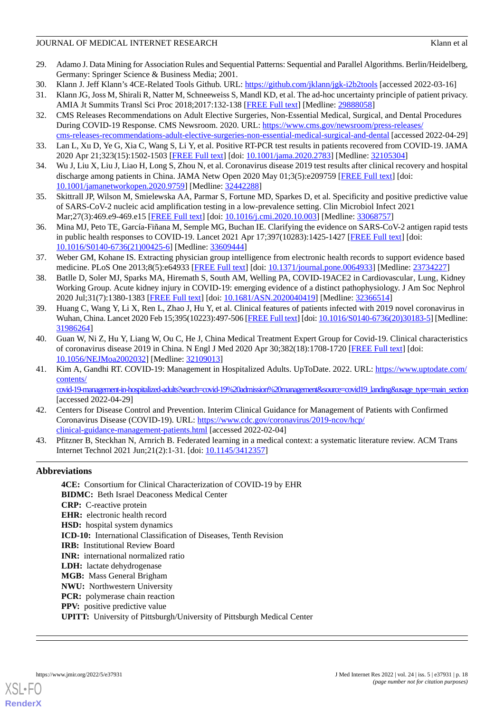- <span id="page-17-0"></span>29. Adamo J. Data Mining for Association Rules and Sequential Patterns: Sequential and Parallel Algorithms. Berlin/Heidelberg, Germany: Springer Science & Business Media; 2001.
- <span id="page-17-2"></span><span id="page-17-1"></span>30. Klann J. Jeff Klann's 4CE-Related Tools Github. URL: <https://github.com/jklann/jgk-i2b2tools> [accessed 2022-03-16]
- <span id="page-17-3"></span>31. Klann JG, Joss M, Shirali R, Natter M, Schneeweiss S, Mandl KD, et al. The ad-hoc uncertainty principle of patient privacy. AMIA Jt Summits Transl Sci Proc 2018;2017:132-138 [[FREE Full text\]](http://europepmc.org/abstract/MED/29888058) [Medline: [29888058\]](http://www.ncbi.nlm.nih.gov/entrez/query.fcgi?cmd=Retrieve&db=PubMed&list_uids=29888058&dopt=Abstract)
- 32. CMS Releases Recommendations on Adult Elective Surgeries, Non-Essential Medical, Surgical, and Dental Procedures During COVID-19 Response. CMS Newsroom. 2020. URL: [https://www.cms.gov/newsroom/press-releases/](https://www.cms.gov/newsroom/press-releases/cms-releases-recommendations-adult-elective-surgeries-non-essential-medical-surgical-and-dental) [cms-releases-recommendations-adult-elective-surgeries-non-essential-medical-surgical-and-dental](https://www.cms.gov/newsroom/press-releases/cms-releases-recommendations-adult-elective-surgeries-non-essential-medical-surgical-and-dental) [accessed 2022-04-29]
- <span id="page-17-4"></span>33. Lan L, Xu D, Ye G, Xia C, Wang S, Li Y, et al. Positive RT-PCR test results in patients recovered from COVID-19. JAMA 2020 Apr 21;323(15):1502-1503 [\[FREE Full text\]](http://europepmc.org/abstract/MED/32105304) [doi: [10.1001/jama.2020.2783\]](http://dx.doi.org/10.1001/jama.2020.2783) [Medline: [32105304\]](http://www.ncbi.nlm.nih.gov/entrez/query.fcgi?cmd=Retrieve&db=PubMed&list_uids=32105304&dopt=Abstract)
- 34. Wu J, Liu X, Liu J, Liao H, Long S, Zhou N, et al. Coronavirus disease 2019 test results after clinical recovery and hospital discharge among patients in China. JAMA Netw Open 2020 May 01;3(5):e209759 [[FREE Full text](https://jamanetwork.com/journals/jamanetworkopen/fullarticle/10.1001/jamanetworkopen.2020.9759)] [doi: [10.1001/jamanetworkopen.2020.9759](http://dx.doi.org/10.1001/jamanetworkopen.2020.9759)] [Medline: [32442288](http://www.ncbi.nlm.nih.gov/entrez/query.fcgi?cmd=Retrieve&db=PubMed&list_uids=32442288&dopt=Abstract)]
- <span id="page-17-5"></span>35. Skittrall JP, Wilson M, Smielewska AA, Parmar S, Fortune MD, Sparkes D, et al. Specificity and positive predictive value of SARS-CoV-2 nucleic acid amplification testing in a low-prevalence setting. Clin Microbiol Infect 2021 Mar; 27(3): 469.e9-469.e15 [\[FREE Full text\]](https://linkinghub.elsevier.com/retrieve/pii/S1198-743X(20)30614-5) [doi: 10.1016/j.cmi. 2020.10.003] [Medline: [33068757\]](http://www.ncbi.nlm.nih.gov/entrez/query.fcgi?cmd=Retrieve&db=PubMed&list_uids=33068757&dopt=Abstract)
- <span id="page-17-6"></span>36. Mina MJ, Peto TE, García-Fiñana M, Semple MG, Buchan IE. Clarifying the evidence on SARS-CoV-2 antigen rapid tests in public health responses to COVID-19. Lancet 2021 Apr 17;397(10283):1425-1427 [\[FREE Full text](http://europepmc.org/abstract/MED/33609444)] [doi: [10.1016/S0140-6736\(21\)00425-6\]](http://dx.doi.org/10.1016/S0140-6736(21)00425-6) [Medline: [33609444](http://www.ncbi.nlm.nih.gov/entrez/query.fcgi?cmd=Retrieve&db=PubMed&list_uids=33609444&dopt=Abstract)]
- <span id="page-17-7"></span>37. Weber GM, Kohane IS. Extracting physician group intelligence from electronic health records to support evidence based medicine. PLoS One 2013;8(5):e64933 [[FREE Full text\]](https://dx.plos.org/10.1371/journal.pone.0064933) [doi: [10.1371/journal.pone.0064933](http://dx.doi.org/10.1371/journal.pone.0064933)] [Medline: [23734227](http://www.ncbi.nlm.nih.gov/entrez/query.fcgi?cmd=Retrieve&db=PubMed&list_uids=23734227&dopt=Abstract)]
- <span id="page-17-8"></span>38. Batlle D, Soler MJ, Sparks MA, Hiremath S, South AM, Welling PA, COVID-19ACE2 in Cardiovascular, Lung, Kidney Working Group. Acute kidney injury in COVID-19: emerging evidence of a distinct pathophysiology. J Am Soc Nephrol 2020 Jul;31(7):1380-1383 [\[FREE Full text\]](https://jasn.asnjournals.org/cgi/pmidlookup?view=long&pmid=32366514) [doi: [10.1681/ASN.2020040419](http://dx.doi.org/10.1681/ASN.2020040419)] [Medline: [32366514](http://www.ncbi.nlm.nih.gov/entrez/query.fcgi?cmd=Retrieve&db=PubMed&list_uids=32366514&dopt=Abstract)]
- <span id="page-17-9"></span>39. Huang C, Wang Y, Li X, Ren L, Zhao J, Hu Y, et al. Clinical features of patients infected with 2019 novel coronavirus in Wuhan, China. Lancet 2020 Feb 15;395(10223):497-506 [[FREE Full text](https://linkinghub.elsevier.com/retrieve/pii/S0140-6736(20)30183-5)] [doi: [10.1016/S0140-6736\(20\)30183-5\]](http://dx.doi.org/10.1016/S0140-6736(20)30183-5) [Medline: [31986264](http://www.ncbi.nlm.nih.gov/entrez/query.fcgi?cmd=Retrieve&db=PubMed&list_uids=31986264&dopt=Abstract)]
- <span id="page-17-10"></span>40. Guan W, Ni Z, Hu Y, Liang W, Ou C, He J, China Medical Treatment Expert Group for Covid-19. Clinical characteristics of coronavirus disease 2019 in China. N Engl J Med 2020 Apr 30;382(18):1708-1720 [\[FREE Full text\]](http://europepmc.org/abstract/MED/32109013) [doi: [10.1056/NEJMoa2002032](http://dx.doi.org/10.1056/NEJMoa2002032)] [Medline: [32109013](http://www.ncbi.nlm.nih.gov/entrez/query.fcgi?cmd=Retrieve&db=PubMed&list_uids=32109013&dopt=Abstract)]
- <span id="page-17-11"></span>41. Kim A, Gandhi RT. COVID-19: Management in Hospitalized Adults. UpToDate. 2022. URL: [https://www.uptodate.com/](https://www.uptodate.com/contents/covid-19-management-in-hospitalized-adults?search=covid-19%20admission%20management&source=covid19_landing&usage_type=main_section) [contents/](https://www.uptodate.com/contents/covid-19-management-in-hospitalized-adults?search=covid-19%20admission%20management&source=covid19_landing&usage_type=main_section) [covid-19-management-in-hospitalized-adults?search=covid-19%20admission%20management&source=covid19\\_landing&usage\\_type=main\\_section](https://www.uptodate.com/contents/covid-19-management-in-hospitalized-adults?search=covid-19%20admission%20management&source=covid19_landing&usage_type=main_section)

[accessed 2022-04-29]

- <span id="page-17-12"></span>42. Centers for Disease Control and Prevention. Interim Clinical Guidance for Management of Patients with Confirmed Coronavirus Disease (COVID-19). URL: [https://www.cdc.gov/coronavirus/2019-ncov/hcp/](https://www.cdc.gov/coronavirus/2019-ncov/hcp/clinical-guidance-management-patients.html) [clinical-guidance-management-patients.html](https://www.cdc.gov/coronavirus/2019-ncov/hcp/clinical-guidance-management-patients.html) [accessed 2022-02-04]
- 43. Pfitzner B, Steckhan N, Arnrich B. Federated learning in a medical context: a systematic literature review. ACM Trans Internet Technol 2021 Jun;21(2):1-31. [doi: [10.1145/3412357](http://dx.doi.org/10.1145/3412357)]

# **Abbreviations**

**4CE:** Consortium for Clinical Characterization of COVID-19 by EHR **BIDMC:** Beth Israel Deaconess Medical Center **CRP:** C-reactive protein **EHR:** electronic health record **HSD:** hospital system dynamics **ICD-10:** International Classification of Diseases, Tenth Revision **IRB:** Institutional Review Board **INR:** international normalized ratio **LDH:** lactate dehydrogenase **MGB:** Mass General Brigham **NWU:** Northwestern University **PCR:** polymerase chain reaction **PPV:** positive predictive value **UPITT:** University of Pittsburgh/University of Pittsburgh Medical Center



**[RenderX](http://www.renderx.com/)**